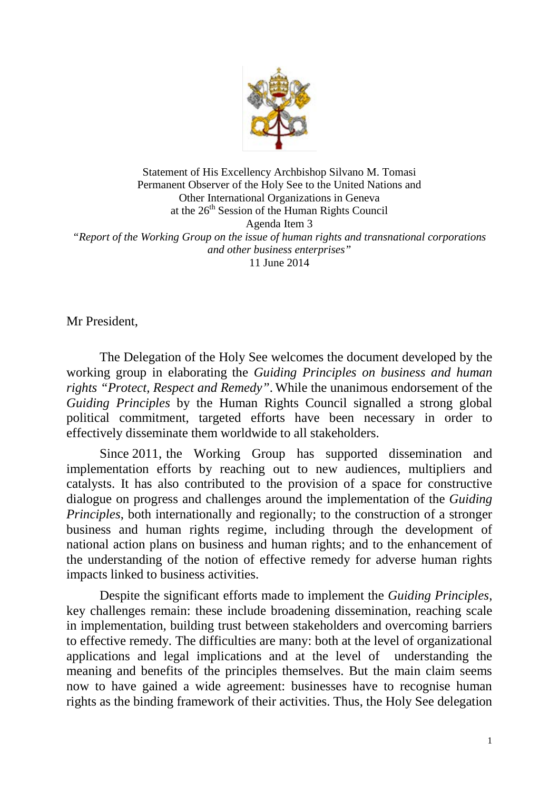

Statement of His Excellency Archbishop Silvano M. Tomasi Permanent Observer of the Holy See to the United Nations and Other International Organizations in Geneva at the 26<sup>th</sup> Session of the Human Rights Council Agenda Item 3 *"Report of the Working Group on the issue of human rights and transnational corporations and other business enterprises"* 11 June 2014

Mr President,

The Delegation of the Holy See welcomes the document developed by the working group in elaborating the *Guiding Principles on business and human rights "Protect, Respect and Remedy"*. While the unanimous endorsement of the *Guiding Principles* by the Human Rights Council signalled a strong global political commitment, targeted efforts have been necessary in order to effectively disseminate them worldwide to all stakeholders.

Since 2011, the Working Group has supported dissemination and implementation efforts by reaching out to new audiences, multipliers and catalysts. It has also contributed to the provision of a space for constructive dialogue on progress and challenges around the implementation of the *Guiding Principles*, both internationally and regionally; to the construction of a stronger business and human rights regime, including through the development of national action plans on business and human rights; and to the enhancement of the understanding of the notion of effective remedy for adverse human rights impacts linked to business activities.

Despite the significant efforts made to implement the *Guiding Principles*, key challenges remain: these include broadening dissemination, reaching scale in implementation, building trust between stakeholders and overcoming barriers to effective remedy. The difficulties are many: both at the level of organizational applications and legal implications and at the level of understanding the meaning and benefits of the principles themselves. But the main claim seems now to have gained a wide agreement: businesses have to recognise human rights as the binding framework of their activities. Thus, the Holy See delegation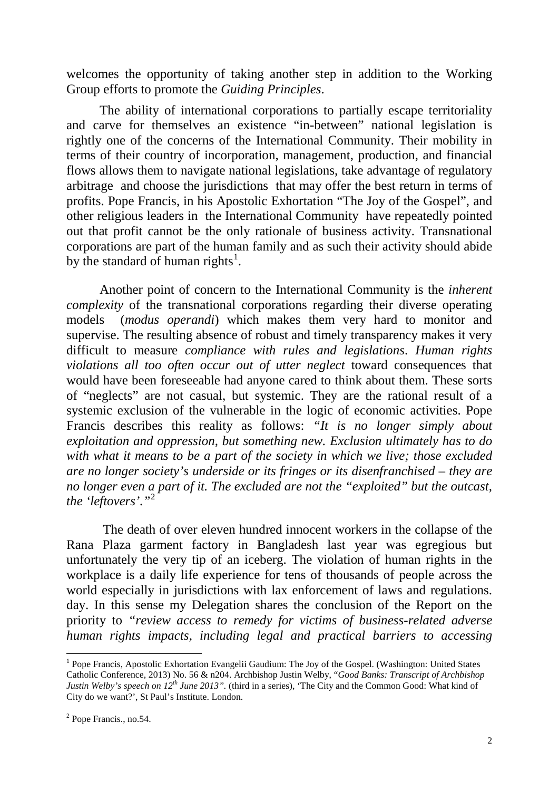welcomes the opportunity of taking another step in addition to the Working Group efforts to promote the *Guiding Principles*.

The ability of international corporations to partially escape territoriality and carve for themselves an existence "in-between" national legislation is rightly one of the concerns of the International Community. Their mobility in terms of their country of incorporation, management, production, and financial flows allows them to navigate national legislations, take advantage of regulatory arbitrage and choose the jurisdictions that may offer the best return in terms of profits. Pope Francis, in his Apostolic Exhortation "The Joy of the Gospel", and other religious leaders in the International Community have repeatedly pointed out that profit cannot be the only rationale of business activity. Transnational corporations are part of the human family and as such their activity should abide by the standard of human rights<sup>[1](#page-1-0)</sup>.

Another point of concern to the International Community is the *inherent complexity* of the transnational corporations regarding their diverse operating models (*modus operandi*) which makes them very hard to monitor and supervise. The resulting absence of robust and timely transparency makes it very difficult to measure *compliance with rules and legislations*. *Human rights violations all too often occur out of utter neglect* toward consequences that would have been foreseeable had anyone cared to think about them. These sorts of "neglects" are not casual, but systemic. They are the rational result of a systemic exclusion of the vulnerable in the logic of economic activities. Pope Francis describes this reality as follows: *"It is no longer simply about exploitation and oppression, but something new. Exclusion ultimately has to do with what it means to be a part of the society in which we live; those excluded are no longer society's underside or its fringes or its disenfranchised – they are no longer even a part of it. The excluded are not the "exploited" but the outcast, the 'leftovers'."* [2](#page-1-1)

The death of over eleven hundred innocent workers in the collapse of the Rana Plaza garment factory in Bangladesh last year was egregious but unfortunately the very tip of an iceberg. The violation of human rights in the workplace is a daily life experience for tens of thousands of people across the world especially in jurisdictions with lax enforcement of laws and regulations. day. In this sense my Delegation shares the conclusion of the Report on the priority to *"review access to remedy for victims of business-related adverse human rights impacts, including legal and practical barriers to accessing* 

<span id="page-1-0"></span><sup>&</sup>lt;sup>1</sup> Pope Francis, Apostolic Exhortation Evangelii Gaudium: The Joy of the Gospel. (Washington: United States Catholic Conference, 2013) No. 56 & n204. Archbishop Justin Welby, "*Good Banks: Transcript of Archbishop Justin Welby's speech on 12<sup>th</sup> June 2013"*. (third in a series), 'The City and the Common Good: What kind of City do we want?', St Paul's Institute. London.

<span id="page-1-1"></span><sup>2</sup> Pope Francis., no.54.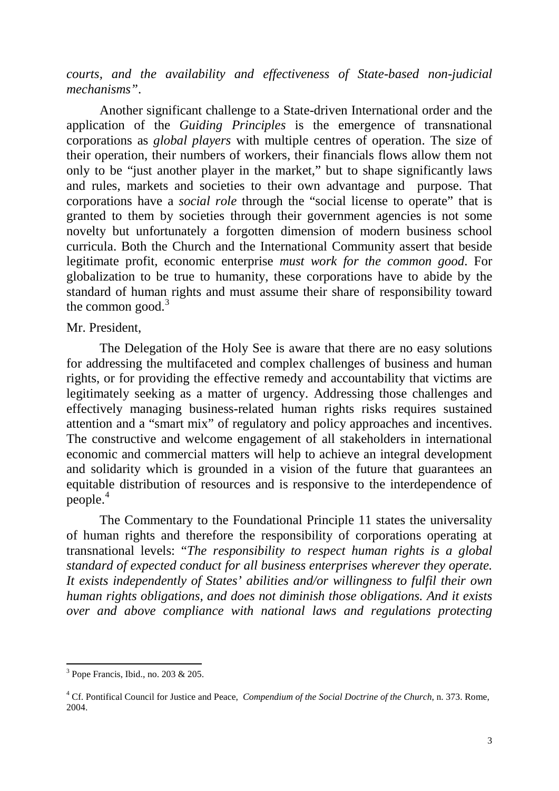*courts, and the availability and effectiveness of State-based non-judicial mechanisms"*.

Another significant challenge to a State-driven International order and the application of the *Guiding Principles* is the emergence of transnational corporations as *global players* with multiple centres of operation. The size of their operation, their numbers of workers, their financials flows allow them not only to be "just another player in the market," but to shape significantly laws and rules, markets and societies to their own advantage and purpose. That corporations have a *social role* through the "social license to operate" that is granted to them by societies through their government agencies is not some novelty but unfortunately a forgotten dimension of modern business school curricula. Both the Church and the International Community assert that beside legitimate profit, economic enterprise *must work for the common good*. For globalization to be true to humanity, these corporations have to abide by the standard of human rights and must assume their share of responsibility toward the common good. $3$ 

## Mr. President,

The Delegation of the Holy See is aware that there are no easy solutions for addressing the multifaceted and complex challenges of business and human rights, or for providing the effective remedy and accountability that victims are legitimately seeking as a matter of urgency. Addressing those challenges and effectively managing business-related human rights risks requires sustained attention and a "smart mix" of regulatory and policy approaches and incentives. The constructive and welcome engagement of all stakeholders in international economic and commercial matters will help to achieve an integral development and solidarity which is grounded in a vision of the future that guarantees an equitable distribution of resources and is responsive to the interdependence of people.<sup>[4](#page-2-1)</sup>

The Commentary to the Foundational Principle 11 states the universality of human rights and therefore the responsibility of corporations operating at transnational levels: "*The responsibility to respect human rights is a global standard of expected conduct for all business enterprises wherever they operate. It exists independently of States' abilities and/or willingness to fulfil their own human rights obligations, and does not diminish those obligations. And it exists over and above compliance with national laws and regulations protecting* 

<span id="page-2-0"></span> $3$  Pope Francis, Ibid., no. 203 & 205.

<span id="page-2-1"></span><sup>4</sup> Cf. Pontifical Council for Justice and Peace, *Compendium of the Social Doctrine of the Church*, n. 373. Rome, 2004.